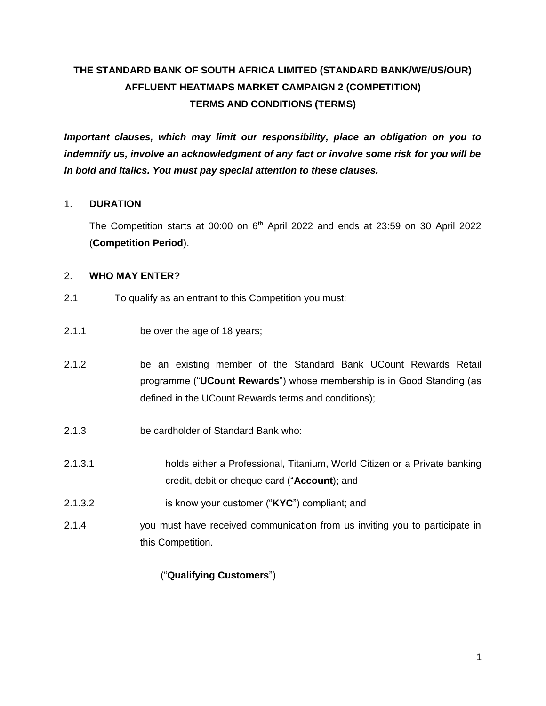# **THE STANDARD BANK OF SOUTH AFRICA LIMITED (STANDARD BANK/WE/US/OUR) AFFLUENT HEATMAPS MARKET CAMPAIGN 2 (COMPETITION) TERMS AND CONDITIONS (TERMS)**

*Important clauses, which may limit our responsibility, place an obligation on you to indemnify us, involve an acknowledgment of any fact or involve some risk for you will be in bold and italics. You must pay special attention to these clauses.* 

#### 1. **DURATION**

The Competition starts at 00:00 on  $6<sup>th</sup>$  April 2022 and ends at 23:59 on 30 April 2022 (**Competition Period**).

#### 2. **WHO MAY ENTER?**

- 2.1 To qualify as an entrant to this Competition you must:
- 2.1.1 be over the age of 18 years;
- 2.1.2 be an existing member of the Standard Bank UCount Rewards Retail programme ("**UCount Rewards**") whose membership is in Good Standing (as defined in the UCount Rewards terms and conditions);
- 2.1.3 be cardholder of Standard Bank who:
- 2.1.3.1 holds either a Professional, Titanium, World Citizen or a Private banking credit, debit or cheque card ("**Account**); and
- 2.1.3.2 is know your customer ("**KYC**") compliant; and
- 2.1.4 you must have received communication from us inviting you to participate in this Competition.

## ("**Qualifying Customers**")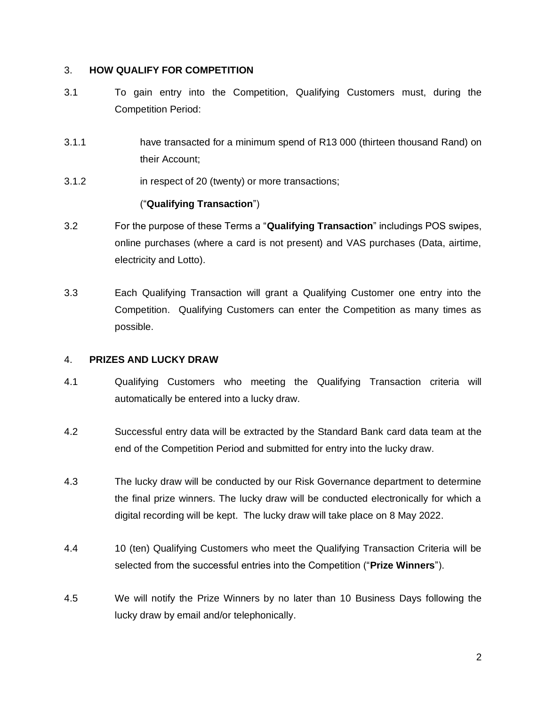#### 3. **HOW QUALIFY FOR COMPETITION**

- 3.1 To gain entry into the Competition, Qualifying Customers must, during the Competition Period:
- 3.1.1 have transacted for a minimum spend of R13 000 (thirteen thousand Rand) on their Account;
- 3.1.2 in respect of 20 (twenty) or more transactions;

## ("**Qualifying Transaction**")

- 3.2 For the purpose of these Terms a "**Qualifying Transaction**" includings POS swipes, online purchases (where a card is not present) and VAS purchases (Data, airtime, electricity and Lotto).
- 3.3 Each Qualifying Transaction will grant a Qualifying Customer one entry into the Competition. Qualifying Customers can enter the Competition as many times as possible.

#### 4. **PRIZES AND LUCKY DRAW**

- 4.1 Qualifying Customers who meeting the Qualifying Transaction criteria will automatically be entered into a lucky draw.
- 4.2 Successful entry data will be extracted by the Standard Bank card data team at the end of the Competition Period and submitted for entry into the lucky draw.
- 4.3 The lucky draw will be conducted by our Risk Governance department to determine the final prize winners. The lucky draw will be conducted electronically for which a digital recording will be kept. The lucky draw will take place on 8 May 2022.
- 4.4 10 (ten) Qualifying Customers who meet the Qualifying Transaction Criteria will be selected from the successful entries into the Competition ("**Prize Winners**").
- 4.5 We will notify the Prize Winners by no later than 10 Business Days following the lucky draw by email and/or telephonically.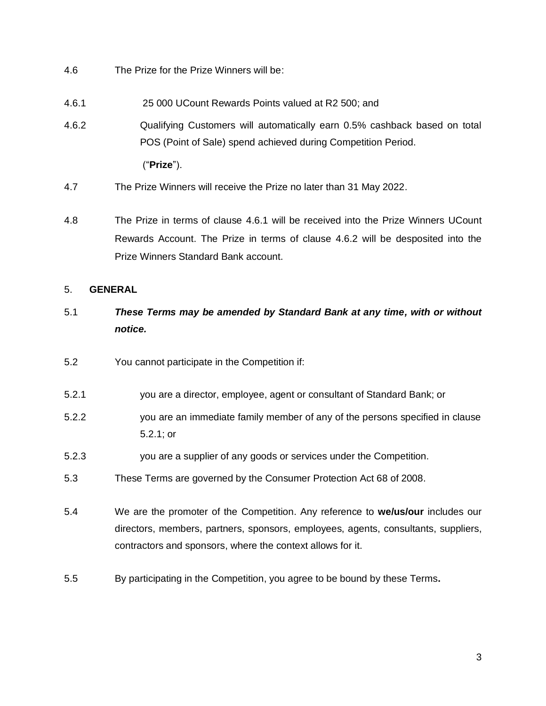- 4.6 The Prize for the Prize Winners will be:
- 4.6.1 25 000 UCount Rewards Points valued at R2 500; and
- <span id="page-2-1"></span>4.6.2 Qualifying Customers will automatically earn 0.5% cashback based on total POS (Point of Sale) spend achieved during Competition Period.

<span id="page-2-0"></span>("**Prize**").

- 4.7 The Prize Winners will receive the Prize no later than 31 May 2022.
- 4.8 The Prize in terms of clause [4.6.1](#page-2-0) will be received into the Prize Winners UCount Rewards Account. The Prize in terms of clause [4.6.2](#page-2-1) will be desposited into the Prize Winners Standard Bank account.

#### 5. **GENERAL**

- 5.1 *These Terms may be amended by Standard Bank at any time, with or without notice.*
- 5.2 You cannot participate in the Competition if:
- 5.2.1 you are a director, employee, agent or consultant of Standard Bank; or
- 5.2.2 you are an immediate family member of any of the persons specified in clause 5.2.1; or
- 5.2.3 you are a supplier of any goods or services under the Competition.
- 5.3 These Terms are governed by the Consumer Protection Act 68 of 2008.
- 5.4 We are the promoter of the Competition. Any reference to **we/us/our** includes our directors, members, partners, sponsors, employees, agents, consultants, suppliers, contractors and sponsors, where the context allows for it.
- 5.5 By participating in the Competition, you agree to be bound by these Terms**.**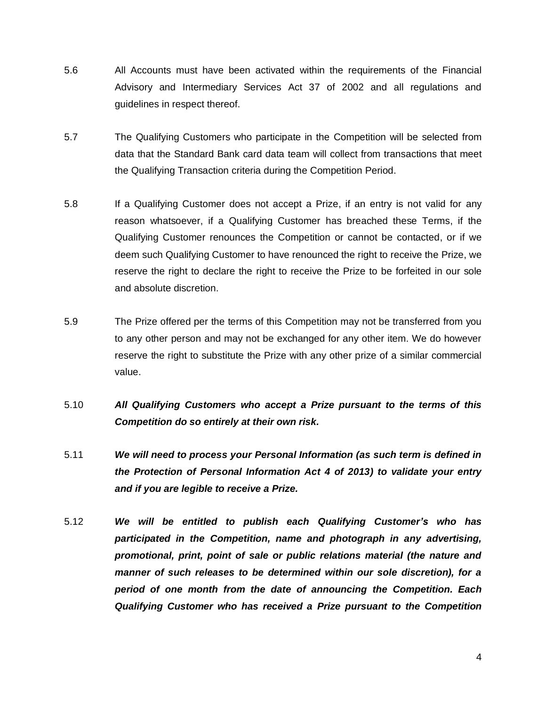- 5.6 All Accounts must have been activated within the requirements of the Financial Advisory and Intermediary Services Act 37 of 2002 and all regulations and guidelines in respect thereof.
- 5.7 The Qualifying Customers who participate in the Competition will be selected from data that the Standard Bank card data team will collect from transactions that meet the Qualifying Transaction criteria during the Competition Period.
- 5.8 If a Qualifying Customer does not accept a Prize, if an entry is not valid for any reason whatsoever, if a Qualifying Customer has breached these Terms, if the Qualifying Customer renounces the Competition or cannot be contacted, or if we deem such Qualifying Customer to have renounced the right to receive the Prize, we reserve the right to declare the right to receive the Prize to be forfeited in our sole and absolute discretion.
- 5.9 The Prize offered per the terms of this Competition may not be transferred from you to any other person and may not be exchanged for any other item. We do however reserve the right to substitute the Prize with any other prize of a similar commercial value.
- 5.10 *All Qualifying Customers who accept a Prize pursuant to the terms of this Competition do so entirely at their own risk.*
- 5.11 *We will need to process your Personal Information (as such term is defined in the Protection of Personal Information Act 4 of 2013) to validate your entry and if you are legible to receive a Prize.*
- 5.12 *We will be entitled to publish each Qualifying Customer's who has participated in the Competition, name and photograph in any advertising, promotional, print, point of sale or public relations material (the nature and manner of such releases to be determined within our sole discretion), for a period of one month from the date of announcing the Competition. Each Qualifying Customer who has received a Prize pursuant to the Competition*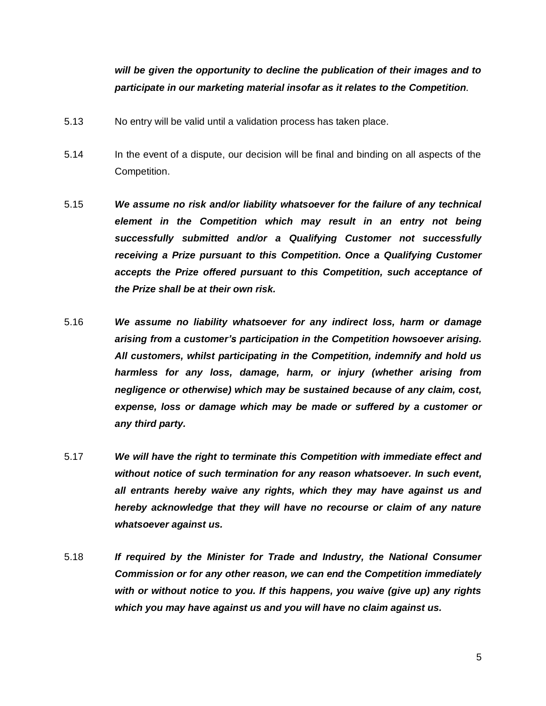# *will be given the opportunity to decline the publication of their images and to participate in our marketing material insofar as it relates to the Competition.*

- 5.13 No entry will be valid until a validation process has taken place.
- 5.14 In the event of a dispute, our decision will be final and binding on all aspects of the Competition.
- 5.15 *We assume no risk and/or liability whatsoever for the failure of any technical element in the Competition which may result in an entry not being successfully submitted and/or a Qualifying Customer not successfully receiving a Prize pursuant to this Competition. Once a Qualifying Customer accepts the Prize offered pursuant to this Competition, such acceptance of the Prize shall be at their own risk.*
- 5.16 *We assume no liability whatsoever for any indirect loss, harm or damage arising from a customer's participation in the Competition howsoever arising. All customers, whilst participating in the Competition, indemnify and hold us harmless for any loss, damage, harm, or injury (whether arising from negligence or otherwise) which may be sustained because of any claim, cost, expense, loss or damage which may be made or suffered by a customer or any third party.*
- 5.17 *We will have the right to terminate this Competition with immediate effect and without notice of such termination for any reason whatsoever. In such event, all entrants hereby waive any rights, which they may have against us and hereby acknowledge that they will have no recourse or claim of any nature whatsoever against us.*
- 5.18 *If required by the Minister for Trade and Industry, the National Consumer Commission or for any other reason, we can end the Competition immediately with or without notice to you. If this happens, you waive (give up) any rights which you may have against us and you will have no claim against us.*